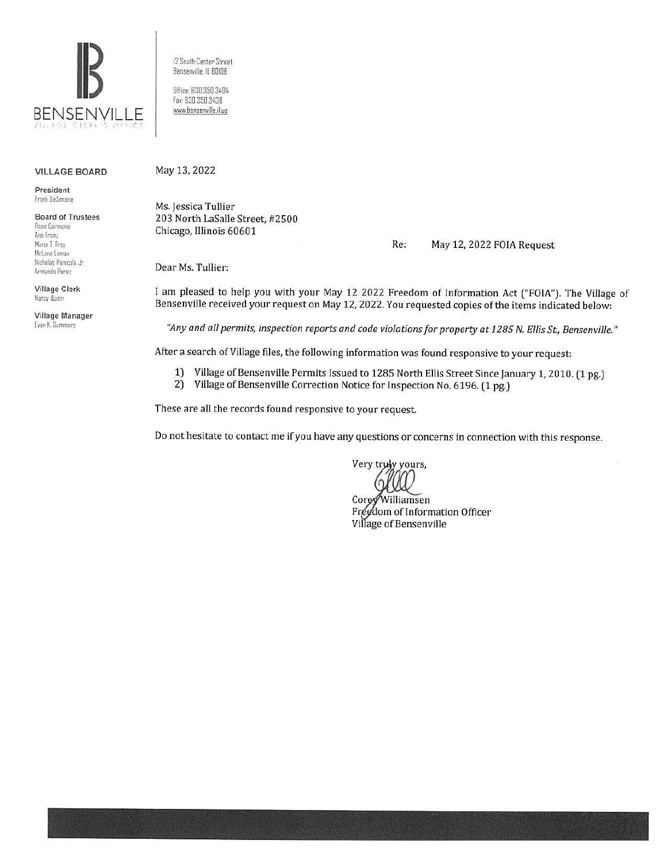

VILLAGE BOARD

President frank OeS,mone

Board of Trustees Rosa Carmona Ann Fran, Marie I. Frey Mclane Loma, Nicholas Panicola Jr. Armando Perez

Village Clerk llancy Ouinn

Village Manager [ van K Summers

12 South Center Street Bensenville. IL 60I06

Office 630.350.3404 fax 630.350.3438 www.bensenville.il.us

May 13, 2022

Ms. Jessica Tullier 203 North LaSalle Street, #2500 Chicago, Illinois 60601

Re: May 12, 2022 FOIA Request

Dear Ms. Tullier:

I am pleased to help you with your May 12 2022 Freedom of Information Act ("FOIA"). The Village of Bensenville received your request on May 12, 2022. You requested copies of the items indicated below:

*"Any and all permits, inspection reports and code violations for property at 1285 N. Ellis St, Bensenville."* 

After a search of Village files, the following information was found responsive to your request:

- 1) Village of Bensenville Permits Issued to 1285 North Ellis Street Since January 1, 2010. (1 pg.)
- 2) Village of Bensenville Correction Notice for Inspection No. 6196. (1 pg.)

These are all the records found responsive to your request.

Do not hesitate to contact me if you have any questions or concerns in connection with this response.

Very truly yours,

Williamsen Corey Freedom of Information Officer Village of Bensenville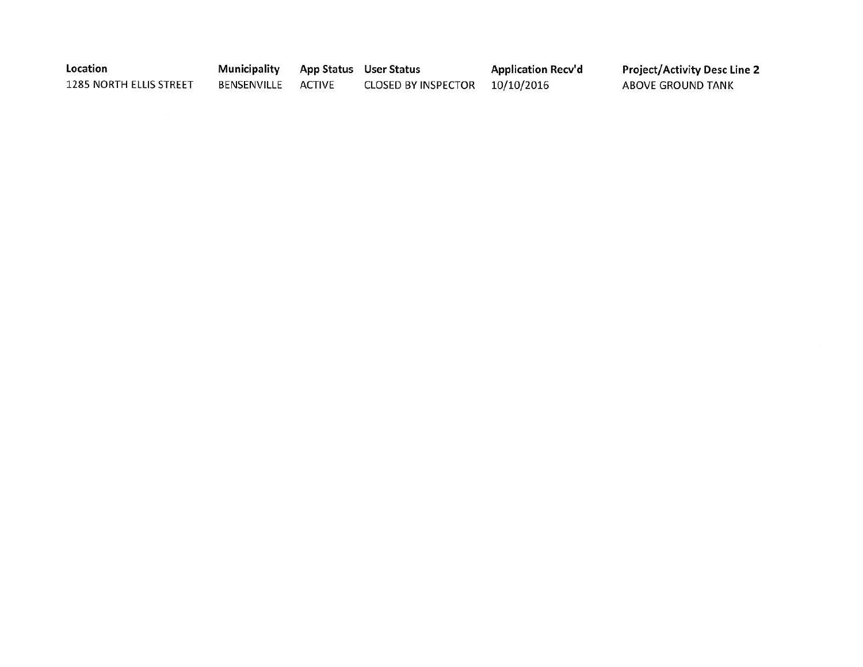| Location                | <b>Municipality App Status User Status</b> |                                | <b>Application Recv'd</b> | <b>Project/Activity Desc Line 2</b> |
|-------------------------|--------------------------------------------|--------------------------------|---------------------------|-------------------------------------|
| 1285 NORTH ELLIS STREET | BENSENVILLE ACTIVE                         | CLOSED BY INSPECTOR 10/10/2016 |                           | ABOVE GROUND TANK                   |